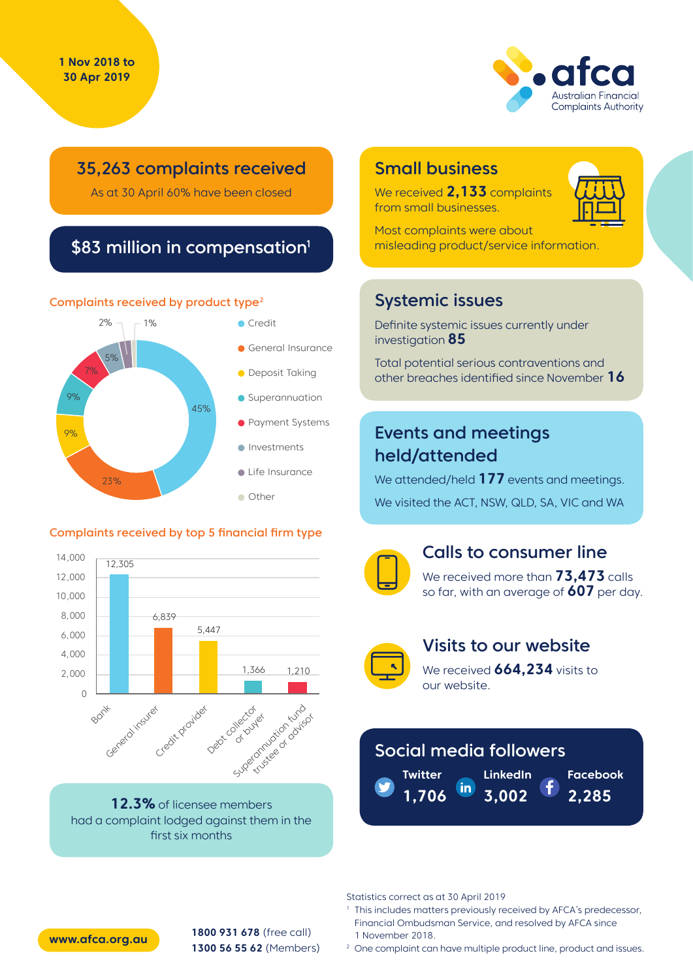

# 35,263 complaints received

As at 30 April 60% have been closed

# \$83 million in compensation<sup>1</sup>

#### Complaints received by product type<sup>2</sup>



#### Complaints received by top 5 financial firm type



**12.3%** of licensee members had a complaint lodged against them in the first six months

# Small business

We received **2,133** complaints from small businesses.



Most complaints were about misleading product/service information.

# Systemic issues

Definite systemic issues currently under investigation **85**

Total potential serious contraventions and other breaches identified since November **16**

# Events and meetings held/attended

We attended/held **177** events and meetings. We visited the ACT, NSW, QLD, SA, VIC and WA



### Calls to consumer line

We received more than **73,473** calls so far, with an average of **607** per day.



## Visits to our website

We received **664,234** visits to our website.

# Social media followers

**LinkedIn Twitter** in. **3,002 1,706**

**Facebook 2,285**

Statistics correct as at 30 April 2019

- <sup>1</sup> This includes matters previously received by AFCA's predecessor, Financial Ombudsman Service, and resolved by AFCA since 1 November 2018.
- <sup>2</sup> One complaint can have multiple product line, product and issues.



**1800 931 678** (free call) **1300 56 55 62** (Members) **www.afca.org.au**